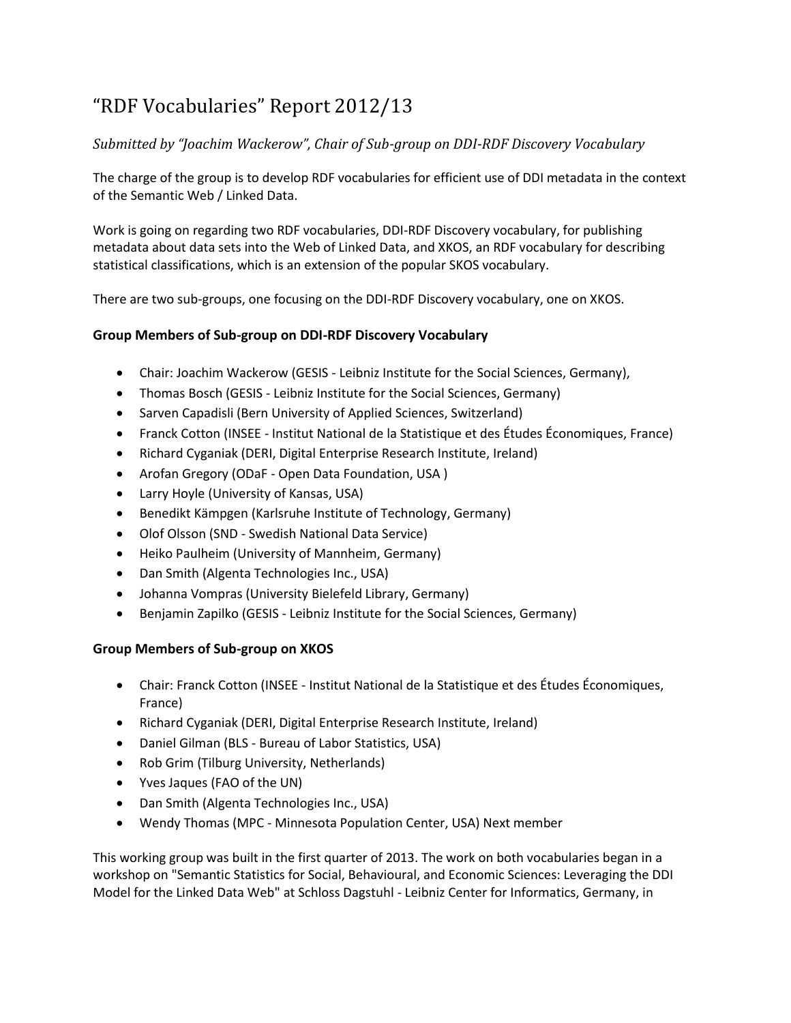# "RDF Vocabularies" Report 2012/13

## *Submitted by "Joachim Wackerow", Chair of Sub-group on DDI-RDF Discovery Vocabulary*

The charge of the group is to develop RDF vocabularies for efficient use of DDI metadata in the context of the Semantic Web / Linked Data.

Work is going on regarding two RDF vocabularies, DDI-RDF Discovery vocabulary, for publishing metadata about data sets into the Web of Linked Data, and XKOS, an RDF vocabulary for describing statistical classifications, which is an extension of the popular SKOS vocabulary.

There are two sub-groups, one focusing on the DDI-RDF Discovery vocabulary, one on XKOS.

## **Group Members of Sub-group on DDI-RDF Discovery Vocabulary**

- Chair: Joachim Wackerow (GESIS Leibniz Institute for the Social Sciences, Germany),
- Thomas Bosch (GESIS Leibniz Institute for the Social Sciences, Germany)
- Sarven Capadisli (Bern University of Applied Sciences, Switzerland)
- Franck Cotton (INSEE Institut National de la Statistique et des Études Économiques, France)
- Richard Cyganiak (DERI, Digital Enterprise Research Institute, Ireland)
- Arofan Gregory (ODaF Open Data Foundation, USA )
- Larry Hoyle (University of Kansas, USA)
- Benedikt Kämpgen (Karlsruhe Institute of Technology, Germany)
- Olof Olsson (SND Swedish National Data Service)
- Heiko Paulheim (University of Mannheim, Germany)
- Dan Smith (Algenta Technologies Inc., USA)
- Johanna Vompras (University Bielefeld Library, Germany)
- Benjamin Zapilko (GESIS Leibniz Institute for the Social Sciences, Germany)

#### **Group Members of Sub-group on XKOS**

- Chair: Franck Cotton (INSEE Institut National de la Statistique et des Études Économiques, France)
- Richard Cyganiak (DERI, Digital Enterprise Research Institute, Ireland)
- Daniel Gilman (BLS Bureau of Labor Statistics, USA)
- Rob Grim (Tilburg University, Netherlands)
- Yves Jaques (FAO of the UN)
- Dan Smith (Algenta Technologies Inc., USA)
- Wendy Thomas (MPC Minnesota Population Center, USA) Next member

This working group was built in the first quarter of 2013. The work on both vocabularies began in a workshop on "Semantic Statistics for Social, Behavioural, and Economic Sciences: Leveraging the DDI Model for the Linked Data Web" at Schloss Dagstuhl - Leibniz Center for Informatics, Germany, in